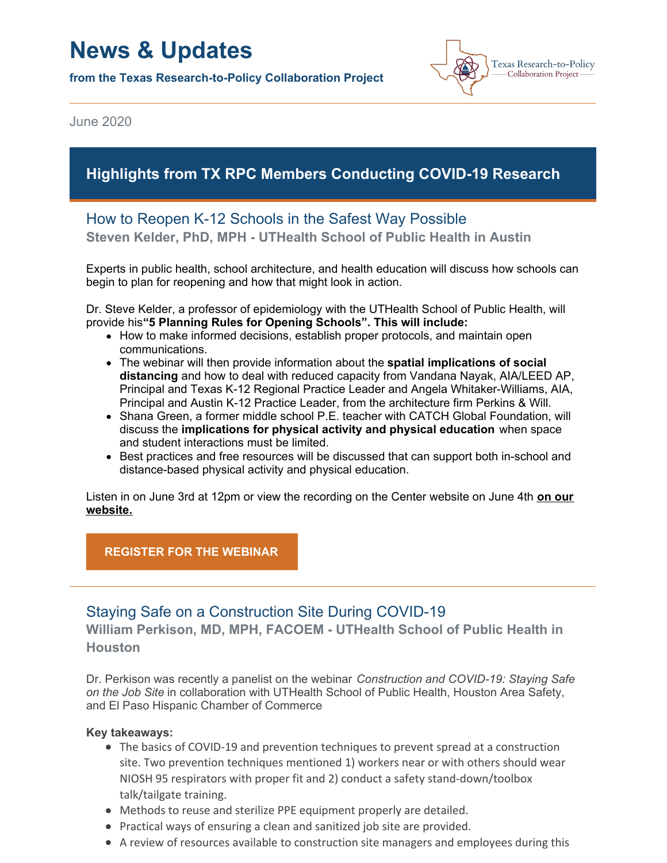# **News & Updates**

**from the Texas Research-to-Policy Collaboration Project**



June 2020

# **Highlights from TX RPC Members Conducting COVID-19 Research**

# How to Reopen K-12 Schools in the Safest Way Possible

**Steven Kelder, PhD, MPH - UTHealth School of Public Health in Austin**

Experts in public health, school architecture, and health education will discuss how schools can begin to plan for reopening and how that might look in action.

Dr. Steve Kelder, a professor of epidemiology with the UTHealth School of Public Health, will provide his**"5 Planning Rules for Opening Schools". This will include:**

- How to make informed decisions, establish proper protocols, and maintain open communications.
- The webinar will then provide information about the **spatial implications of social distancing** and how to deal with reduced capacity from Vandana Nayak, AIA/LEED AP, Principal and Texas K-12 Regional Practice Leader and Angela Whitaker-Williams, AIA, Principal and Austin K-12 Practice Leader, from the architecture firm Perkins & Will.
- Shana Green, a former middle school P.E. teacher with CATCH Global Foundation, will discuss the **implications for physical activity and physical education** when space and student interactions must be limited.
- Best practices and free resources will be discussed that can support both in-school and distance-based physical activity and physical education.

Listen in on June 3rd at 12pm or view the [recording](https://sph.uth.edu/research/centers/dell/webinars/) on the Center website on June 4th **on our website.**

#### **[REGISTER](https://register.gotowebinar.com/register/6870086607653856525) FOR THE WEBINAR**

## Staying Safe on a Construction Site During COVID-19

**William Perkison, MD, MPH, FACOEM - UTHealth School of Public Health in Houston**

Dr. Perkison was recently a panelist on the webinar *Construction and COVID-19: Staying Safe on the Job Site* in collaboration with UTHealth School of Public Health, Houston Area Safety, and El Paso Hispanic Chamber of Commerce

#### **Key takeaways:**

- The basics of COVID-19 and prevention techniques to prevent spread at a construction site. Two prevention techniques mentioned 1) workers near or with others should wear NIOSH 95 respirators with proper fit and 2) conduct a safety stand-down/toolbox talk/tailgate training.
- Methods to reuse and sterilize PPE equipment properly are detailed.
- Practical ways of ensuring a clean and sanitized job site are provided.
- A review of resources available to construction site managers and employees during this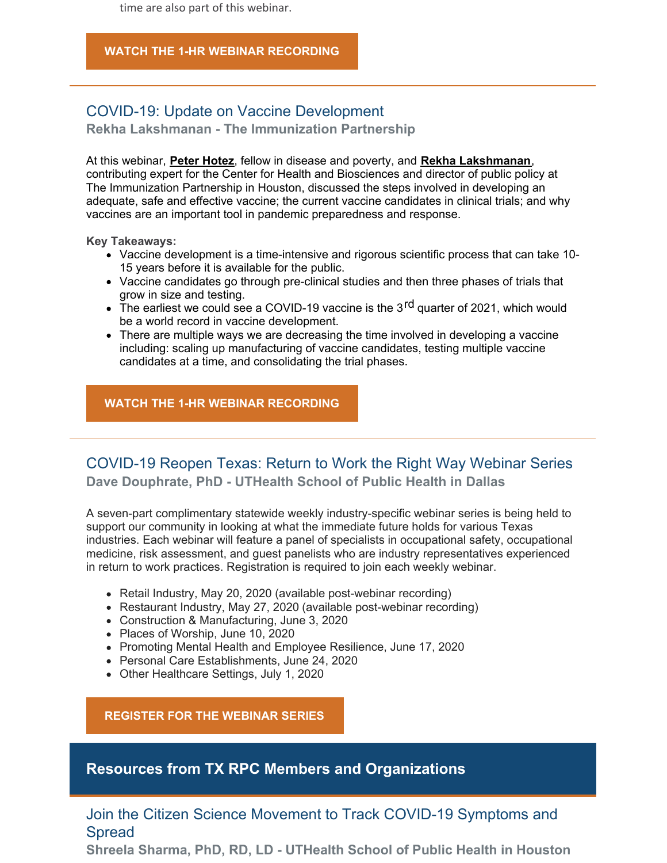time are also part of this webinar.

#### **WATCH THE 1-HR WEBINAR [RECORDING](https://www.youtube.com/watch?v=3-X0-APpCCM&feature=youtu.be)**

## COVID-19: Update on Vaccine Development

**Rekha Lakshmanan - The Immunization Partnership**

At this webinar, **Peter [Hotez](https://www.bakerinstitute.org/experts/peter-j-hotez/)**, fellow in disease and poverty, and **Rekha [Lakshmanan](https://www.bakerinstitute.org/experts/rekha-lakshmanan/)**, contributing expert for the Center for Health and Biosciences and director of public policy at The Immunization Partnership in Houston, discussed the steps involved in developing an adequate, safe and effective vaccine; the current vaccine candidates in clinical trials; and why vaccines are an important tool in pandemic preparedness and response.

**Key Takeaways:**

- Vaccine development is a time-intensive and rigorous scientific process that can take 10- 15 years before it is available for the public.
- Vaccine candidates go through pre-clinical studies and then three phases of trials that grow in size and testing.
- greed to take the could see a COVID-19 vaccine is the 3<sup>rd</sup> quarter of 2021, which would be a world record in vaccine development.
- There are multiple ways we are decreasing the time involved in developing a vaccine including: scaling up manufacturing of vaccine candidates, testing multiple vaccine candidates at a time, and consolidating the trial phases.

**WATCH THE 1-HR WEBINAR [RECORDING](https://www.bakerinstitute.org/events/2093/)**

## COVID-19 Reopen Texas: Return to Work the Right Way Webinar Series **Dave Douphrate, PhD - UTHealth School of Public Health in Dallas**

A seven-part complimentary statewide weekly industry-specific webinar series is being held to support our community in looking at what the immediate future holds for various Texas industries. Each webinar will feature a panel of specialists in occupational safety, occupational medicine, risk assessment, and guest panelists who are industry representatives experienced in return to work practices. Registration is required to join each weekly webinar.

- Retail Industry, May 20, 2020 (available post-webinar recording)
- Restaurant Industry, May 27, 2020 (available post-webinar recording)
- Construction & Manufacturing, June 3, 2020
- Places of Worship, June 10, 2020
- Promoting Mental Health and Employee Resilience, June 17, 2020
- Personal Care Establishments, June 24, 2020
- Other Healthcare Settings, July 1, 2020

**[REGISTER](https://reg.abcsignup.com/reg/event_page.aspx?ek=0037-0020-a6fe2b8a0acc43a6800cf2caa97ad059) FOR THE WEBINAR SERIES**

## **Resources from TX RPC Members and Organizations**

## Join the Citizen Science Movement to Track COVID-19 Symptoms and Spread

**Shreela Sharma, PhD, RD, LD - UTHealth School of Public Health in Houston**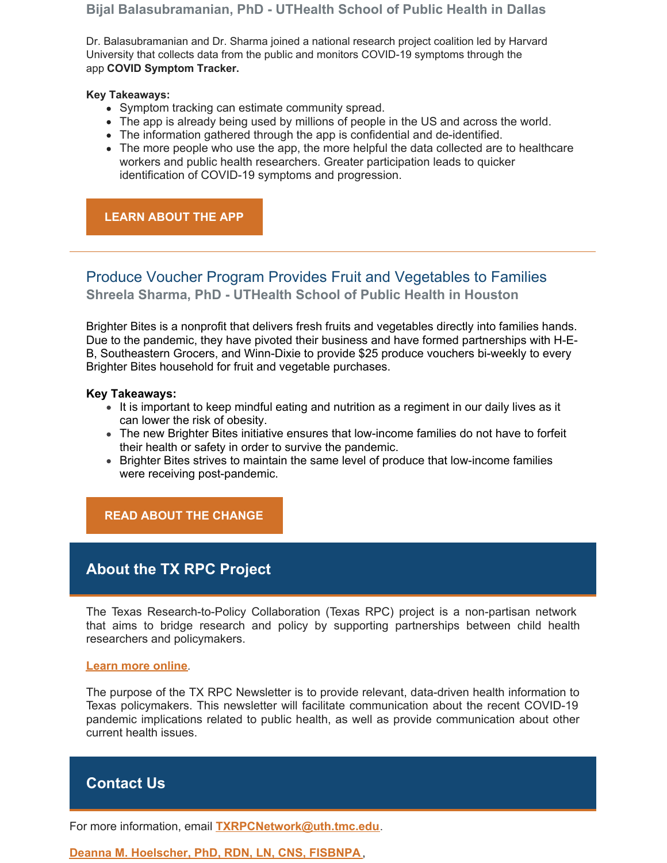#### **Bijal Balasubramanian, PhD - UTHealth School of Public Health in Dallas**

Dr. Balasubramanian and Dr. Sharma joined a national research project coalition led by Harvard University that collects data from the public and monitors COVID-19 symptoms through the app **COVID [Symptom](https://go.uth.edu/COVIDTracker) Tracker.**

#### **Key Takeaways:**

- Symptom tracking can estimate community spread.
- The app is already being used by millions of people in the US and across the world.
- The information gathered through the app is confidential and de-identified.
- The more people who use the app, the more helpful the data collected are to healthcare workers and public health researchers. Greater participation leads to quicker identification of COVID-19 symptoms and progression.

### **LEARN [ABOUT](http://go.uth.edu/COVIDtracker) THE APP**

# Produce Voucher Program Provides Fruit and Vegetables to Families **Shreela Sharma, PhD - UTHealth School of Public Health in Houston**

Brighter Bites is a nonprofit that delivers fresh fruits and vegetables directly into families hands. Due to the pandemic, they have pivoted their business and have formed partnerships with H-E-B, Southeastern Grocers, and Winn-Dixie to provide \$25 produce vouchers bi-weekly to every Brighter Bites household for fruit and vegetable purchases.

#### **Key Takeaways:**

- It is important to keep mindful eating and nutrition as a regiment in our daily lives as it can lower the risk of obesity.
- The new Brighter Bites initiative ensures that low-income families do not have to forfeit their health or safety in order to survive the pandemic.
- Brighter Bites strives to maintain the same level of produce that low-income families were receiving post-pandemic.

## **READ ABOUT THE [CHANGE](https://www.andnowuknow.com/shop-talk/brighter-bites-launches-produce-voucher-program-h-e-b-southeastern-grocers-Rich-Dachman/lilian-diep/67912)**

# **About the TX RPC Project**

The Texas Research-to-Policy Collaboration (Texas RPC) project is a non-partisan network that aims to bridge research and policy by supporting partnerships between child health researchers and policymakers.

#### **Learn more [online](https://sph.uth.edu/research/centers/dell/legislative-initiatives/research-to-policy-collaboration-project)**.

The purpose of the TX RPC Newsletter is to provide relevant, data-driven health information to Texas policymakers. This newsletter will facilitate communication about the recent COVID-19 pandemic implications related to public health, as well as provide communication about other current health issues.

# **Contact Us**

For more information, email **[TXRPCNetwork@uth.tmc.edu](mailto:TXRPCNetwork@uth.tmc.edu)**.

**Deanna M. [Hoelscher,](https://sph.uth.edu/research/centers/dell/faculty-member.htm?member=d588f250-86e8-4855-aae6-1538f68df27e) PhD, RDN, LN, CNS, FISBNPA**,